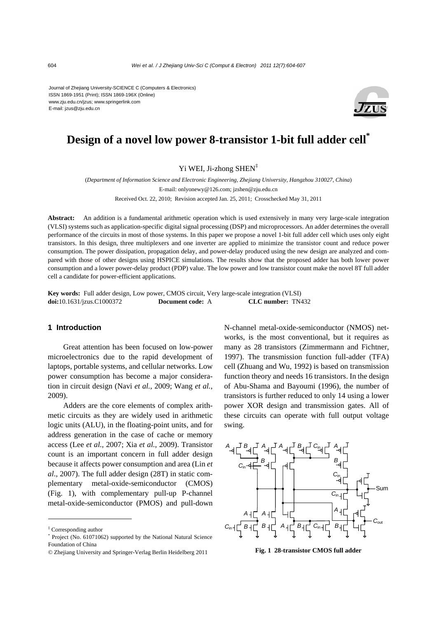Journal of Zhejiang University-SCIENCE C (Computers & Electronics) ISSN 1869-1951 (Print); ISSN 1869-196X (Online) www.zju.edu.cn/jzus; www.springerlink.com E-mail: jzus@zju.edu.cn



# **Design of a novel low power 8-transistor 1-bit full adder cell\***

Yi WEI, Ji-zhong SHEN‡

(*Department of Information Science and Electronic Engineering, Zhejiang University, Hangzhou 310027, China*) E-mail: onlyonewy@126.com; jzshen@zju.edu.cn Received Oct. 22, 2010; Revision accepted Jan. 25, 2011; Crosschecked May 31, 2011

**Abstract:** An addition is a fundamental arithmetic operation which is used extensively in many very large-scale integration (VLSI) systems such as application-specific digital signal processing (DSP) and microprocessors. An adder determines the overall performance of the circuits in most of those systems. In this paper we propose a novel 1-bit full adder cell which uses only eight transistors. In this design, three multiplexers and one inverter are applied to minimize the transistor count and reduce power consumption. The power dissipation, propagation delay, and power-delay produced using the new design are analyzed and compared with those of other designs using HSPICE simulations. The results show that the proposed adder has both lower power consumption and a lower power-delay product (PDP) value. The low power and low transistor count make the novel 8T full adder cell a candidate for power-efficient applications.

**Key words:** Full adder design, Low power, CMOS circuit, Very large-scale integration (VLSI) **doi:**10.1631/jzus.C1000372 **Document code:** A **CLC number:** TN432

## **1 Introduction**

Great attention has been focused on low-power microelectronics due to the rapid development of laptops, portable systems, and cellular networks. Low power consumption has become a major consideration in circuit design (Navi *et al.*, 2009; Wang *et al.*, 2009).

Adders are the core elements of complex arithmetic circuits as they are widely used in arithmetic logic units (ALU), in the floating-point units, and for address generation in the case of cache or memory access (Lee *et al.*, 2007; Xia *et al.*, 2009). Transistor count is an important concern in full adder design because it affects power consumption and area (Lin *et al*., 2007). The full adder design (28T) in static complementary metal-oxide-semiconductor (CMOS) (Fig. 1), with complementary pull-up P-channel metal-oxide-semiconductor (PMOS) and pull-down

N-channel metal-oxide-semiconductor (NMOS) networks, is the most conventional, but it requires as many as 28 transistors (Zimmermann and Fichtner, 1997). The transmission function full-adder (TFA) cell (Zhuang and Wu, 1992) is based on transmission function theory and needs 16 transistors. In the design of Abu-Shama and Bayoumi (1996), the number of transistors is further reduced to only 14 using a lower power XOR design and transmission gates. All of these circuits can operate with full output voltage swing.



<sup>‡</sup> Corresponding author

<sup>\*</sup> Project (No. 61071062) supported by the National Natural Science Foundation of China

<sup>©</sup> Zhejiang University and Springer-Verlag Berlin Heidelberg 2011 **Fig. 1 28-transistor CMOS full adder**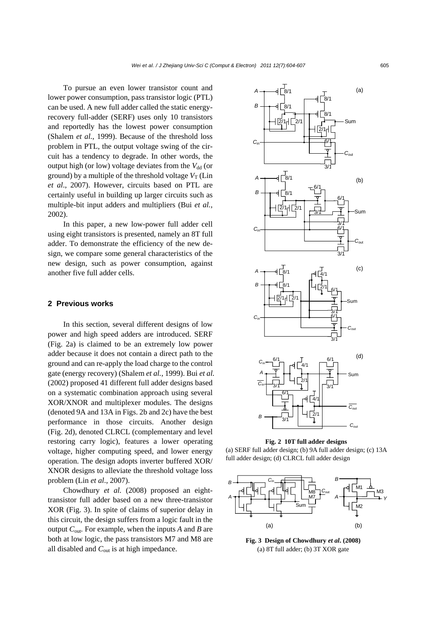To pursue an even lower transistor count and lower power consumption, pass transistor logic (PTL) can be used. A new full adder called the static energyrecovery full-adder (SERF) uses only 10 transistors and reportedly has the lowest power consumption (Shalem *et al.*, 1999). Because of the threshold loss problem in PTL, the output voltage swing of the circuit has a tendency to degrade. In other words, the output high (or low) voltage deviates from the  $V_{dd}$  (or ground) by a multiple of the threshold voltage  $V_T$  (Lin *et al*., 2007). However, circuits based on PTL are certainly useful in building up larger circuits such as multiple-bit input adders and multipliers (Bui *et al.*, 2002).

In this paper, a new low-power full adder cell using eight transistors is presented, namely an 8T full adder. To demonstrate the efficiency of the new design, we compare some general characteristics of the new design, such as power consumption, against another five full adder cells.

## **2 Previous works**

In this section, several different designs of low power and high speed adders are introduced. SERF (Fig. 2a) is claimed to be an extremely low power adder because it does not contain a direct path to the ground and can re-apply the load charge to the control gate (energy recovery) (Shalem *et al.*, 1999). Bui *et al.* (2002) proposed 41 different full adder designs based on a systematic combination approach using several XOR/XNOR and multiplexer modules. The designs (denoted 9A and 13A in Figs. 2b and 2c) have the best performance in those circuits. Another design (Fig. 2d), denoted CLRCL (complementary and level restoring carry logic), features a lower operating voltage, higher computing speed, and lower energy operation. The design adopts inverter buffered XOR/ XNOR designs to alleviate the threshold voltage loss problem (Lin *et al*., 2007).

Chowdhury *et al.* (2008) proposed an eighttransistor full adder based on a new three-transistor XOR (Fig. 3). In spite of claims of superior delay in this circuit, the design suffers from a logic fault in the output *C*out*.* For example, when the inputs *A* and *B* are both at low logic, the pass transistors M7 and M8 are all disabled and *C*out is at high impedance.



**Fig. 2 10T full adder designs** 

(a) SERF full adder design; (b) 9A full adder design; (c) 13A full adder design; (d) CLRCL full adder design



**Fig. 3 Design of Chowdhury** *et al***. (2008)**  (a) 8T full adder; (b) 3T XOR gate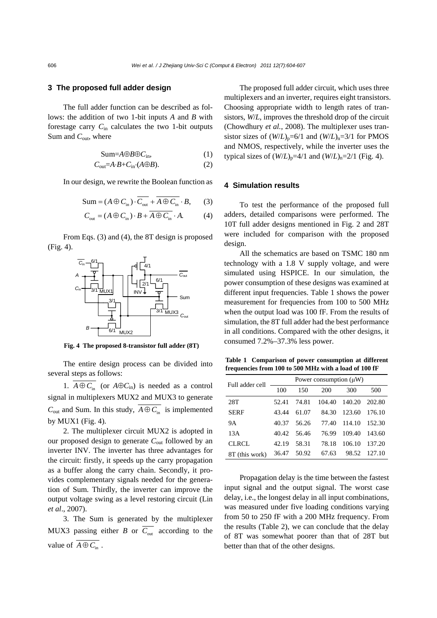# **3 The proposed full adder design**

The full adder function can be described as follows: the addition of two 1-bit inputs *A* and *B* with forestage carry  $C_{\text{in}}$  calculates the two 1-bit outputs Sum and  $C_{\text{out}}$ , where

$$
Sum = A \oplus B \oplus C_{in}, \tag{1}
$$

$$
C_{\text{out}} = A \cdot B + C_{\text{in}} \cdot (A \oplus B). \tag{2}
$$

In our design, we rewrite the Boolean function as

$$
Sum = (A \oplus C_{in}) \cdot \overline{C_{out}} + \overline{A \oplus C_{in}} \cdot B, \qquad (3)
$$

$$
C_{\text{out}} = (A \oplus C_{\text{in}}) \cdot B + \overline{A \oplus C_{\text{in}}} \cdot A. \tag{4}
$$

From Eqs. (3) and (4), the 8T design is proposed (Fig. 4).



**Fig. 4 The proposed 8-transistor full adder (8T)** 

The entire design process can be divided into several steps as follows:

1.  $\overline{A \oplus C_{in}}$  (or  $A \oplus C_{in}$ ) is needed as a control signal in multiplexers MUX2 and MUX3 to generate  $C_{\text{out}}$  and Sum. In this study,  $\overline{A \oplus C_{\text{in}}}$  is implemented by MUX1 (Fig. 4).

2. The multiplexer circuit MUX2 is adopted in our proposed design to generate *C*out followed by an inverter INV. The inverter has three advantages for the circuit: firstly, it speeds up the carry propagation as a buffer along the carry chain. Secondly, it provides complementary signals needed for the generation of Sum. Thirdly, the inverter can improve the output voltage swing as a level restoring circuit (Lin *et al*., 2007).

3. The Sum is generated by the multiplexer MUX3 passing either *B* or  $\overline{C_{\text{out}}}$  according to the value of  $\overline{A \oplus C_{in}}$ .

The proposed full adder circuit, which uses three multiplexers and an inverter, requires eight transistors. Choosing appropriate width to length rates of transistors, *W*/*L*, improves the threshold drop of the circuit (Chowdhury *et al.*, 2008). The multiplexer uses transistor sizes of  $(W/L)_{p} = 6/1$  and  $(W/L)_{n} = 3/1$  for PMOS and NMOS, respectively, while the inverter uses the typical sizes of  $(W/L)_{p}$ =4/1 and  $(W/L)_{n}$ =2/1 (Fig. 4).

## **4 Simulation results**

To test the performance of the proposed full adders, detailed comparisons were performed. The 10T full adder designs mentioned in Fig. 2 and 28T were included for comparison with the proposed design.

All the schematics are based on TSMC 180 nm technology with a 1.8 V supply voltage, and were simulated using HSPICE. In our simulation, the power consumption of these designs was examined at different input frequencies. Table 1 shows the power measurement for frequencies from 100 to 500 MHz when the output load was 100 fF. From the results of simulation, the 8T full adder had the best performance in all conditions. Compared with the other designs, it consumed 7.2%–37.3% less power.

**Table 1 Comparison of power consumption at different frequencies from 100 to 500 MHz with a load of 100 fF** 

| Full adder cell | Power consumption $(\mu W)$ |       |        |        |        |  |
|-----------------|-----------------------------|-------|--------|--------|--------|--|
|                 | 100                         | 150   | 200    | 300    | 500    |  |
| 28T             | 52.41                       | 74.81 | 104.40 | 140.20 | 202.80 |  |
| <b>SERF</b>     | 43.44                       | 61.07 | 84.30  | 123.60 | 176.10 |  |
| 9Α              | 40.37                       | 56.26 | 77.40  | 114.10 | 152.30 |  |
| 13A             | 40.42                       | 56.46 | 76.99  | 109.40 | 143.60 |  |
| <b>CLRCL</b>    | 42.19                       | 58.31 | 78.18  | 106.10 | 137.20 |  |
| 8T (this work)  | 36.47                       | 50.92 | 67.63  | 98.52  | 127.10 |  |

Propagation delay is the time between the fastest input signal and the output signal. The worst case delay, i.e., the longest delay in all input combinations, was measured under five loading conditions varying from 50 to 250 fF with a 200 MHz frequency. From the results (Table 2), we can conclude that the delay of 8T was somewhat poorer than that of 28T but better than that of the other designs.